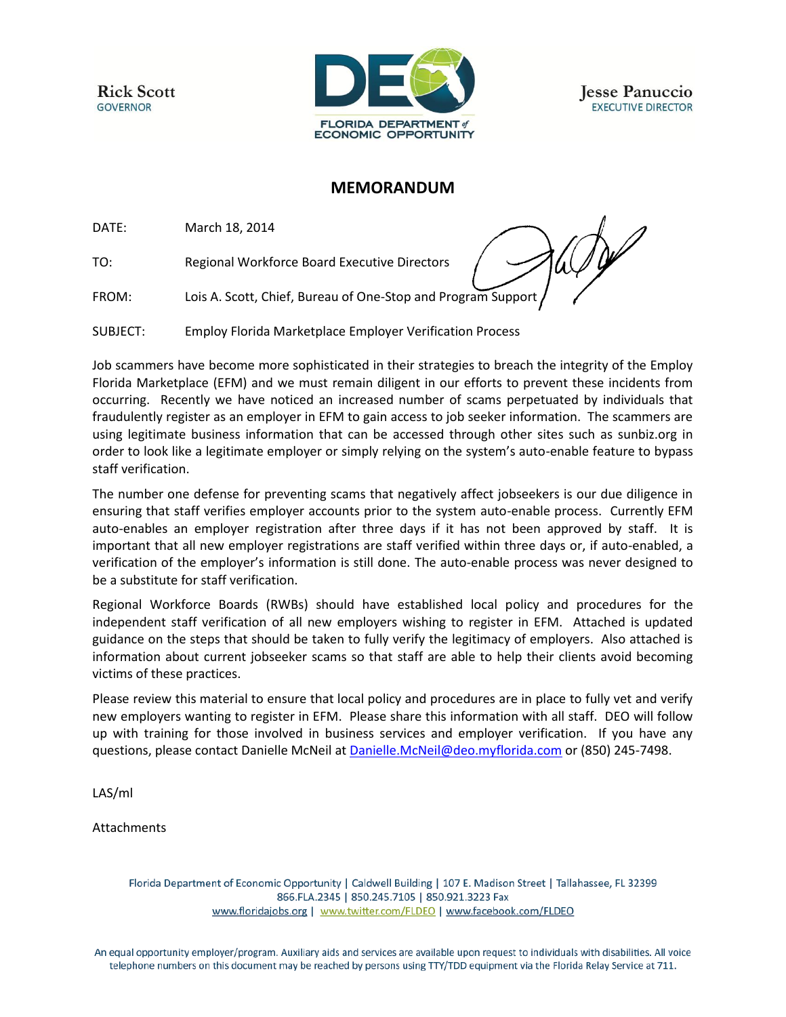**Rick Scott GOVERNOR** 



**Jesse Panuccio EXECUTIVE DIRECTOR** 

## **MEMORANDUM**

DATE: March 18, 2014

TO: Regional Workforce Board Executive Directors

FROM: Lois A. Scott, Chief, Bureau of One-Stop and Program Support

SUBJECT: Employ Florida Marketplace Employer Verification Process

Job scammers have become more sophisticated in their strategies to breach the integrity of the Employ Florida Marketplace (EFM) and we must remain diligent in our efforts to prevent these incidents from occurring. Recently we have noticed an increased number of scams perpetuated by individuals that fraudulently register as an employer in EFM to gain access to job seeker information. The scammers are using legitimate business information that can be accessed through other sites such as sunbiz.org in order to look like a legitimate employer or simply relying on the system's auto-enable feature to bypass staff verification.

The number one defense for preventing scams that negatively affect jobseekers is our due diligence in ensuring that staff verifies employer accounts prior to the system auto-enable process. Currently EFM auto-enables an employer registration after three days if it has not been approved by staff. It is important that all new employer registrations are staff verified within three days or, if auto-enabled, a verification of the employer's information is still done. The auto-enable process was never designed to be a substitute for staff verification.

Regional Workforce Boards (RWBs) should have established local policy and procedures for the independent staff verification of all new employers wishing to register in EFM. Attached is updated guidance on the steps that should be taken to fully verify the legitimacy of employers. Also attached is information about current jobseeker scams so that staff are able to help their clients avoid becoming victims of these practices.

Please review this material to ensure that local policy and procedures are in place to fully vet and verify new employers wanting to register in EFM. Please share this information with all staff. DEO will follow up with training for those involved in business services and employer verification. If you have any questions, please contact Danielle McNeil a[t Danielle.McNeil@deo.myflorida.com](mailto:Danielle.McNeil@deo.myflorida.com) or (850) 245-7498.

LAS/ml

Attachments

Florida Department of Economic Opportunity | Caldwell Building | 107 E. Madison Street | Tallahassee, FL 32399 866.FLA.2345 | 850.245.7105 | 850.921.3223 Fax www.floridajobs.org | www.twitter.com/FLDEO | www.facebook.com/FLDEO

An equal opportunity employer/program. Auxiliary aids and services are available upon request to individuals with disabilities. All voice telephone numbers on this document may be reached by persons using TTY/TDD equipment via the Florida Relay Service at 711.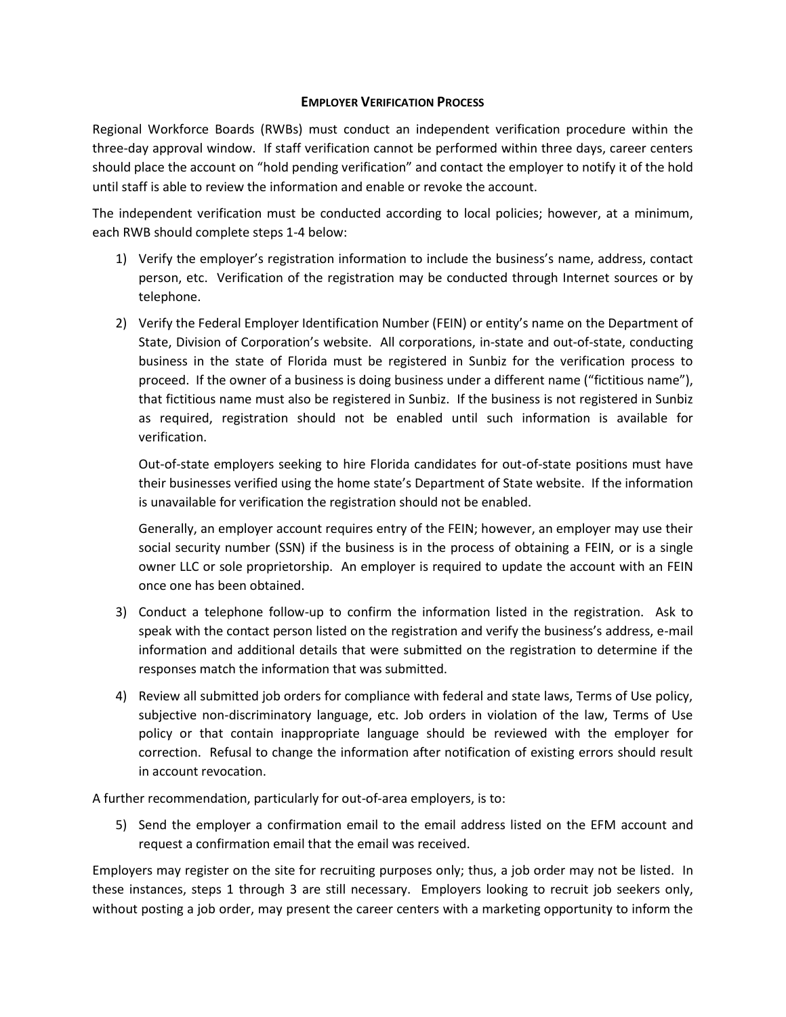## **EMPLOYER VERIFICATION PROCESS**

Regional Workforce Boards (RWBs) must conduct an independent verification procedure within the three-day approval window. If staff verification cannot be performed within three days, career centers should place the account on "hold pending verification" and contact the employer to notify it of the hold until staff is able to review the information and enable or revoke the account.

The independent verification must be conducted according to local policies; however, at a minimum, each RWB should complete steps 1-4 below:

- 1) Verify the employer's registration information to include the business's name, address, contact person, etc. Verification of the registration may be conducted through Internet sources or by telephone.
- 2) Verify the Federal Employer Identification Number (FEIN) or entity's name on the Department of State, Division of Corporation's website. All corporations, in-state and out-of-state, conducting business in the state of Florida must be registered in Sunbiz for the verification process to proceed. If the owner of a business is doing business under a different name ("fictitious name"), that fictitious name must also be registered in Sunbiz. If the business is not registered in Sunbiz as required, registration should not be enabled until such information is available for verification.

Out-of-state employers seeking to hire Florida candidates for out-of-state positions must have their businesses verified using the home state's Department of State website. If the information is unavailable for verification the registration should not be enabled.

Generally, an employer account requires entry of the FEIN; however, an employer may use their social security number (SSN) if the business is in the process of obtaining a FEIN, or is a single owner LLC or sole proprietorship. An employer is required to update the account with an FEIN once one has been obtained.

- 3) Conduct a telephone follow-up to confirm the information listed in the registration. Ask to speak with the contact person listed on the registration and verify the business's address, e-mail information and additional details that were submitted on the registration to determine if the responses match the information that was submitted.
- 4) Review all submitted job orders for compliance with federal and state laws, Terms of Use policy, subjective non-discriminatory language, etc. Job orders in violation of the law, Terms of Use policy or that contain inappropriate language should be reviewed with the employer for correction. Refusal to change the information after notification of existing errors should result in account revocation.

A further recommendation, particularly for out-of-area employers, is to:

5) Send the employer a confirmation email to the email address listed on the EFM account and request a confirmation email that the email was received.

Employers may register on the site for recruiting purposes only; thus, a job order may not be listed. In these instances, steps 1 through 3 are still necessary. Employers looking to recruit job seekers only, without posting a job order, may present the career centers with a marketing opportunity to inform the